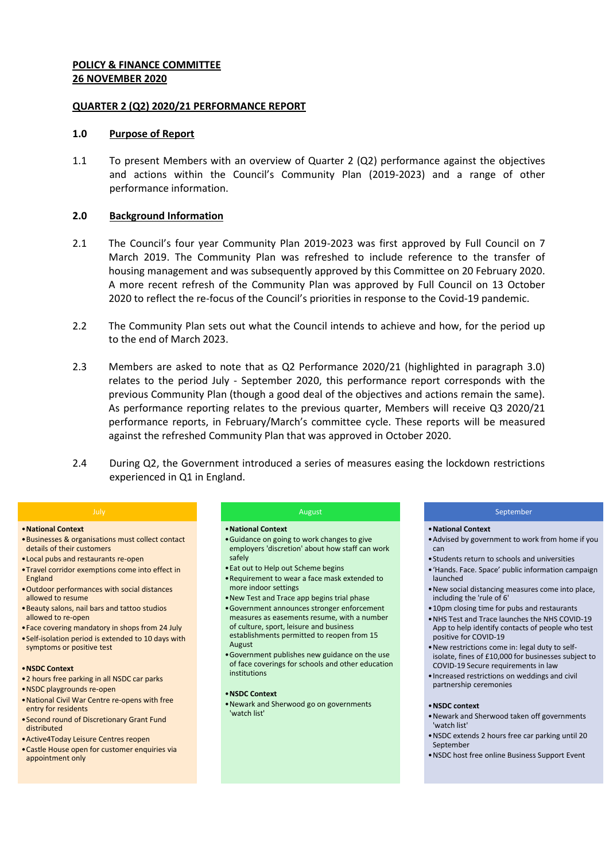#### **POLICY & FINANCE COMMITTEE 26 NOVEMBER 2020**

#### **QUARTER 2 (Q2) 2020/21 PERFORMANCE REPORT**

#### **1.0 Purpose of Report**

1.1 To present Members with an overview of Quarter 2 (Q2) performance against the objectives and actions within the Council's Community Plan (2019-2023) and a range of other performance information.

#### **2.0 Background Information**

- 2.1 The Council's four year Community Plan 2019-2023 was first approved by Full Council on 7 March 2019. The Community Plan was refreshed to include reference to the transfer of housing management and was subsequently approved by this Committee on 20 February 2020. A more recent refresh of the Community Plan was approved by Full Council on 13 October 2020 to reflect the re-focus of the Council's priorities in response to the Covid-19 pandemic.
- 2.2 The Community Plan sets out what the Council intends to achieve and how, for the period up to the end of March 2023.
- 2.3 Members are asked to note that as Q2 Performance 2020/21 (highlighted in paragraph 3.0) relates to the period July - September 2020, this performance report corresponds with the previous Community Plan (though a good deal of the objectives and actions remain the same). As performance reporting relates to the previous quarter, Members will receive Q3 2020/21 performance reports, in February/March's committee cycle. These reports will be measured against the refreshed Community Plan that was approved in October 2020.
- 2.4 During Q2, the Government introduced a series of measures easing the lockdown restrictions experienced in Q1 in England.

#### •**National Context**

- •Businesses & organisations must collect contact details of their customers
- •Local pubs and restaurants re-open
- •Travel corridor exemptions come into effect in England
- •Outdoor performances with social distances allowed to resume
- •Beauty salons, nail bars and tattoo studios allowed to re-open
- •Face covering mandatory in shops from 24 July •Self-isolation period is extended to 10 days with
- symptoms or positive test

#### •**NSDC Context**

- •2 hours free parking in all NSDC car parks
- •NSDC playgrounds re-open
- •National Civil War Centre re-opens with free entry for residents
- •Second round of Discretionary Grant Fund distributed
- •Active4Today Leisure Centres reopen
- Castle House open for customer enquiries via appointment only

#### August

#### •**National Context**

- •Guidance on going to work changes to give employers 'discretion' about how staff can work safely
- •Eat out to Help out Scheme begins
- •Requirement to wear a face mask extended to more indoor settings
- •New Test and Trace app begins trial phase
- •Government announces stronger enforcement measures as easements resume, with a number of culture, sport, leisure and business establishments permitted to reopen from 15 August
- •Government publishes new guidance on the use of face coverings for schools and other education institutions

#### •**NSDC Context**

•Newark and Sherwood go on governments 'watch list'

#### September

#### •**National Context**

- •Advised by government to work from home if you can
- •Students return to schools and universities
- •'Hands. Face. Space' public information campaign launched
- •New social distancing measures come into place, including the 'rule of 6'
- •10pm closing time for pubs and restaurants
- •NHS Test and Trace launches the NHS COVID-19 App to help identify contacts of people who test positive for COVID-19
- •New restrictions come in: legal duty to selfisolate, fines of £10,000 for businesses subject to COVID-19 Secure requirements in law
- •Increased restrictions on weddings and civil partnership ceremonies

#### •**NSDC context**

- •Newark and Sherwood taken off governments 'watch list'
- •NSDC extends 2 hours free car parking until 20 September
- •NSDC host free online Business Support Event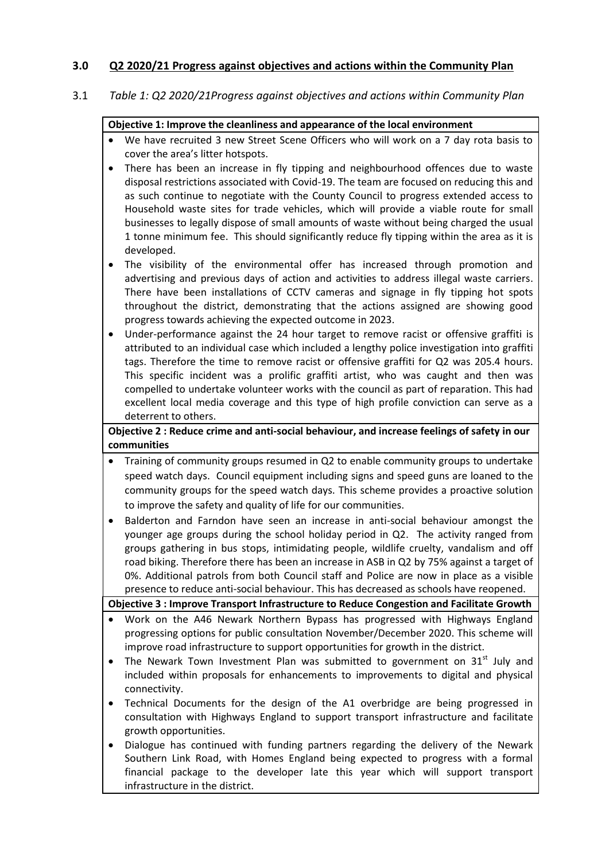# **3.0 Q2 2020/21 Progress against objectives and actions within the Community Plan**

#### 3.1 *Table 1: Q2 2020/21Progress against objectives and actions within Community Plan*

#### **Objective 1: Improve the cleanliness and appearance of the local environment**

- We have recruited 3 new Street Scene Officers who will work on a 7 day rota basis to cover the area's litter hotspots.
- There has been an increase in fly tipping and neighbourhood offences due to waste disposal restrictions associated with Covid-19. The team are focused on reducing this and as such continue to negotiate with the County Council to progress extended access to Household waste sites for trade vehicles, which will provide a viable route for small businesses to legally dispose of small amounts of waste without being charged the usual 1 tonne minimum fee. This should significantly reduce fly tipping within the area as it is developed.
- The visibility of the environmental offer has increased through promotion and advertising and previous days of action and activities to address illegal waste carriers. There have been installations of CCTV cameras and signage in fly tipping hot spots throughout the district, demonstrating that the actions assigned are showing good progress towards achieving the expected outcome in 2023.
- Under-performance against the 24 hour target to remove racist or offensive graffiti is attributed to an individual case which included a lengthy police investigation into graffiti tags. Therefore the time to remove racist or offensive graffiti for Q2 was 205.4 hours. This specific incident was a prolific graffiti artist, who was caught and then was compelled to undertake volunteer works with the council as part of reparation. This had excellent local media coverage and this type of high profile conviction can serve as a deterrent to others.

# **Objective 2 : Reduce crime and anti-social behaviour, and increase feelings of safety in our communities**

- Training of community groups resumed in Q2 to enable community groups to undertake speed watch days. Council equipment including signs and speed guns are loaned to the community groups for the speed watch days. This scheme provides a proactive solution to improve the safety and quality of life for our communities.
- Balderton and Farndon have seen an increase in anti-social behaviour amongst the younger age groups during the school holiday period in Q2. The activity ranged from groups gathering in bus stops, intimidating people, wildlife cruelty, vandalism and off road biking. Therefore there has been an increase in ASB in Q2 by 75% against a target of 0%. Additional patrols from both Council staff and Police are now in place as a visible presence to reduce anti-social behaviour. This has decreased as schools have reopened.

**Objective 3 : Improve Transport Infrastructure to Reduce Congestion and Facilitate Growth** 

- Work on the A46 Newark Northern Bypass has progressed with Highways England progressing options for public consultation November/December 2020. This scheme will improve road infrastructure to support opportunities for growth in the district.
- The Newark Town Investment Plan was submitted to government on  $31^{st}$  July and included within proposals for enhancements to improvements to digital and physical connectivity.
- Technical Documents for the design of the A1 overbridge are being progressed in consultation with Highways England to support transport infrastructure and facilitate growth opportunities.
- Dialogue has continued with funding partners regarding the delivery of the Newark Southern Link Road, with Homes England being expected to progress with a formal financial package to the developer late this year which will support transport infrastructure in the district.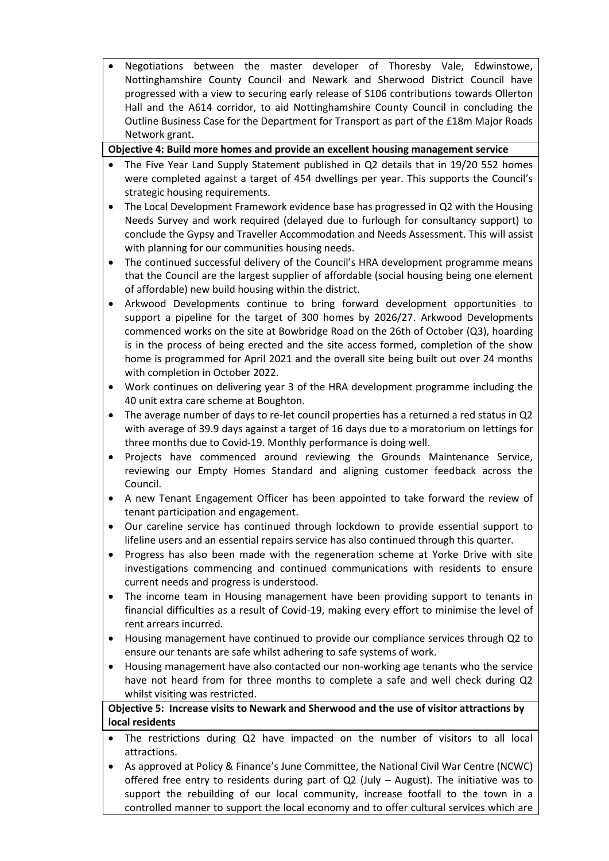Negotiations between the master developer of Thoresby Vale, Edwinstowe, Nottinghamshire County Council and Newark and Sherwood District Council have progressed with a view to securing early release of S106 contributions towards Ollerton Hall and the A614 corridor, to aid Nottinghamshire County Council in concluding the Outline Business Case for the Department for Transport as part of the £18m Major Roads Network grant.

# **Objective 4: Build more homes and provide an excellent housing management service**

- The Five Year Land Supply Statement published in Q2 details that in 19/20 552 homes were completed against a target of 454 dwellings per year. This supports the Council's strategic housing requirements.
- The Local Development Framework evidence base has progressed in Q2 with the Housing Needs Survey and work required (delayed due to furlough for consultancy support) to conclude the Gypsy and Traveller Accommodation and Needs Assessment. This will assist with planning for our communities housing needs.
- The continued successful delivery of the Council's HRA development programme means that the Council are the largest supplier of affordable (social housing being one element of affordable) new build housing within the district.
- Arkwood Developments continue to bring forward development opportunities to support a pipeline for the target of 300 homes by 2026/27. Arkwood Developments commenced works on the site at Bowbridge Road on the 26th of October (Q3), hoarding is in the process of being erected and the site access formed, completion of the show home is programmed for April 2021 and the overall site being built out over 24 months with completion in October 2022.
- Work continues on delivering year 3 of the HRA development programme including the 40 unit extra care scheme at Boughton.
- The average number of days to re-let council properties has a returned a red status in Q2 with average of 39.9 days against a target of 16 days due to a moratorium on lettings for three months due to Covid-19. Monthly performance is doing well.
- Projects have commenced around reviewing the Grounds Maintenance Service, reviewing our Empty Homes Standard and aligning customer feedback across the Council.
- A new Tenant Engagement Officer has been appointed to take forward the review of tenant participation and engagement.
- Our careline service has continued through lockdown to provide essential support to lifeline users and an essential repairs service has also continued through this quarter.
- Progress has also been made with the regeneration scheme at Yorke Drive with site investigations commencing and continued communications with residents to ensure current needs and progress is understood.
- The income team in Housing management have been providing support to tenants in financial difficulties as a result of Covid-19, making every effort to minimise the level of rent arrears incurred.
- Housing management have continued to provide our compliance services through Q2 to ensure our tenants are safe whilst adhering to safe systems of work.
- Housing management have also contacted our non-working age tenants who the service have not heard from for three months to complete a safe and well check during Q2 whilst visiting was restricted.

# **Objective 5: Increase visits to Newark and Sherwood and the use of visitor attractions by local residents**

- The restrictions during Q2 have impacted on the number of visitors to all local attractions.
- As approved at Policy & Finance's June Committee, the National Civil War Centre (NCWC) offered free entry to residents during part of Q2 (July – August). The initiative was to support the rebuilding of our local community, increase footfall to the town in a controlled manner to support the local economy and to offer cultural services which are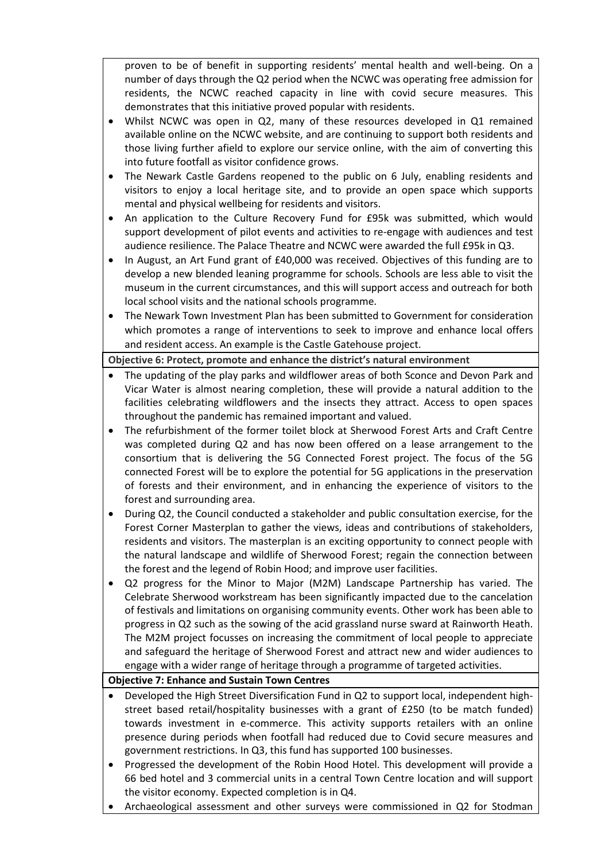proven to be of benefit in supporting residents' mental health and well-being. On a number of days through the Q2 period when the NCWC was operating free admission for residents, the NCWC reached capacity in line with covid secure measures. This demonstrates that this initiative proved popular with residents.

- Whilst NCWC was open in Q2, many of these resources developed in Q1 remained available online on the NCWC website, and are continuing to support both residents and those living further afield to explore our service online, with the aim of converting this into future footfall as visitor confidence grows.
- The Newark Castle Gardens reopened to the public on 6 July, enabling residents and visitors to enjoy a local heritage site, and to provide an open space which supports mental and physical wellbeing for residents and visitors.
- An application to the Culture Recovery Fund for £95k was submitted, which would support development of pilot events and activities to re-engage with audiences and test audience resilience. The Palace Theatre and NCWC were awarded the full £95k in Q3.
- In August, an Art Fund grant of £40,000 was received. Objectives of this funding are to develop a new blended leaning programme for schools. Schools are less able to visit the museum in the current circumstances, and this will support access and outreach for both local school visits and the national schools programme.
- The Newark Town Investment Plan has been submitted to Government for consideration which promotes a range of interventions to seek to improve and enhance local offers and resident access. An example is the Castle Gatehouse project.

**Objective 6: Protect, promote and enhance the district's natural environment** 

- The updating of the play parks and wildflower areas of both Sconce and Devon Park and Vicar Water is almost nearing completion, these will provide a natural addition to the facilities celebrating wildflowers and the insects they attract. Access to open spaces throughout the pandemic has remained important and valued.
- The refurbishment of the former toilet block at Sherwood Forest Arts and Craft Centre was completed during Q2 and has now been offered on a lease arrangement to the consortium that is delivering the 5G Connected Forest project. The focus of the 5G connected Forest will be to explore the potential for 5G applications in the preservation of forests and their environment, and in enhancing the experience of visitors to the forest and surrounding area.
- During Q2, the Council conducted a stakeholder and public consultation exercise, for the Forest Corner Masterplan to gather the views, ideas and contributions of stakeholders, residents and visitors. The masterplan is an exciting opportunity to connect people with the natural landscape and wildlife of Sherwood Forest; regain the connection between the forest and the legend of Robin Hood; and improve user facilities.
- Q2 progress for the Minor to Major (M2M) Landscape Partnership has varied. The Celebrate Sherwood workstream has been significantly impacted due to the cancelation of festivals and limitations on organising community events. Other work has been able to progress in Q2 such as the sowing of the acid grassland nurse sward at Rainworth Heath. The M2M project focusses on increasing the commitment of local people to appreciate and safeguard the heritage of Sherwood Forest and attract new and wider audiences to engage with a wider range of heritage through a programme of targeted activities.

#### **Objective 7: Enhance and Sustain Town Centres**

- Developed the High Street Diversification Fund in Q2 to support local, independent highstreet based retail/hospitality businesses with a grant of £250 (to be match funded) towards investment in e-commerce. This activity supports retailers with an online presence during periods when footfall had reduced due to Covid secure measures and government restrictions. In Q3, this fund has supported 100 businesses.
- Progressed the development of the Robin Hood Hotel. This development will provide a 66 bed hotel and 3 commercial units in a central Town Centre location and will support the visitor economy. Expected completion is in Q4.
- Archaeological assessment and other surveys were commissioned in Q2 for Stodman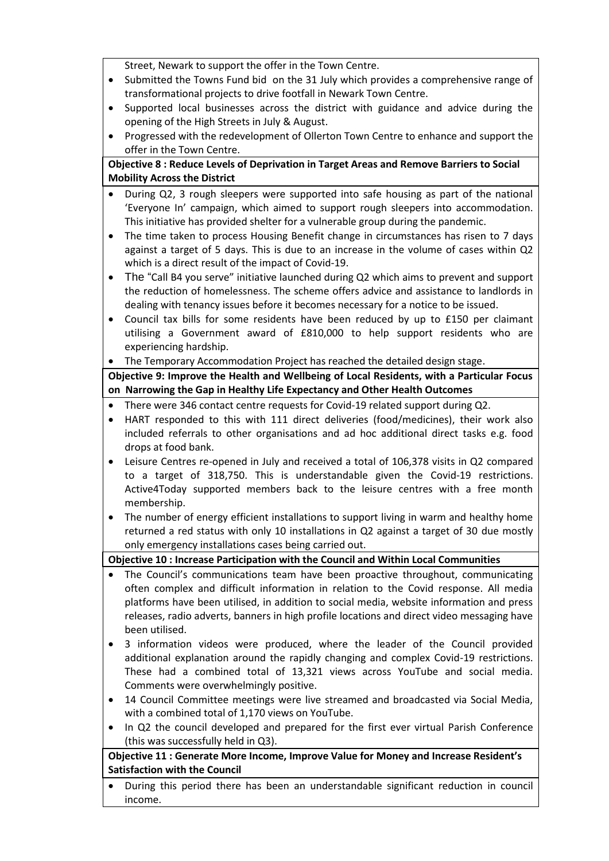Street, Newark to support the offer in the Town Centre.

- Submitted the Towns Fund bid on the 31 July which provides a comprehensive range of transformational projects to drive footfall in Newark Town Centre.
- Supported local businesses across the district with guidance and advice during the opening of the High Streets in July & August.
- Progressed with the redevelopment of Ollerton Town Centre to enhance and support the offer in the Town Centre.

# **Objective 8 : Reduce Levels of Deprivation in Target Areas and Remove Barriers to Social Mobility Across the District**

- During Q2, 3 rough sleepers were supported into safe housing as part of the national 'Everyone In' campaign, which aimed to support rough sleepers into accommodation. This initiative has provided shelter for a vulnerable group during the pandemic.
- The time taken to process Housing Benefit change in circumstances has risen to 7 days against a target of 5 days. This is due to an increase in the volume of cases within Q2 which is a direct result of the impact of Covid-19.
- The "Call B4 you serve" initiative launched during Q2 which aims to prevent and support the reduction of homelessness. The scheme offers advice and assistance to landlords in dealing with tenancy issues before it becomes necessary for a notice to be issued.
- Council tax bills for some residents have been reduced by up to £150 per claimant utilising a Government award of £810,000 to help support residents who are experiencing hardship.
- The Temporary Accommodation Project has reached the detailed design stage.

# **Objective 9: Improve the Health and Wellbeing of Local Residents, with a Particular Focus on Narrowing the Gap in Healthy Life Expectancy and Other Health Outcomes**

- There were 346 contact centre requests for Covid-19 related support during Q2.
- HART responded to this with 111 direct deliveries (food/medicines), their work also included referrals to other organisations and ad hoc additional direct tasks e.g. food drops at food bank.
- Leisure Centres re-opened in July and received a total of 106,378 visits in Q2 compared to a target of 318,750. This is understandable given the Covid-19 restrictions. Active4Today supported members back to the leisure centres with a free month membership.
- The number of energy efficient installations to support living in warm and healthy home returned a red status with only 10 installations in Q2 against a target of 30 due mostly only emergency installations cases being carried out.

**Objective 10 : Increase Participation with the Council and Within Local Communities**

- The Council's communications team have been proactive throughout, communicating often complex and difficult information in relation to the Covid response. All media platforms have been utilised, in addition to social media, website information and press releases, radio adverts, banners in high profile locations and direct video messaging have been utilised.
- 3 information videos were produced, where the leader of the Council provided additional explanation around the rapidly changing and complex Covid-19 restrictions. These had a combined total of 13,321 views across YouTube and social media. Comments were overwhelmingly positive.
- 14 Council Committee meetings were live streamed and broadcasted via Social Media, with a combined total of 1,170 views on YouTube.
- In Q2 the council developed and prepared for the first ever virtual Parish Conference (this was successfully held in Q3).

# **Objective 11 : Generate More Income, Improve Value for Money and Increase Resident's Satisfaction with the Council**

 During this period there has been an understandable significant reduction in council income.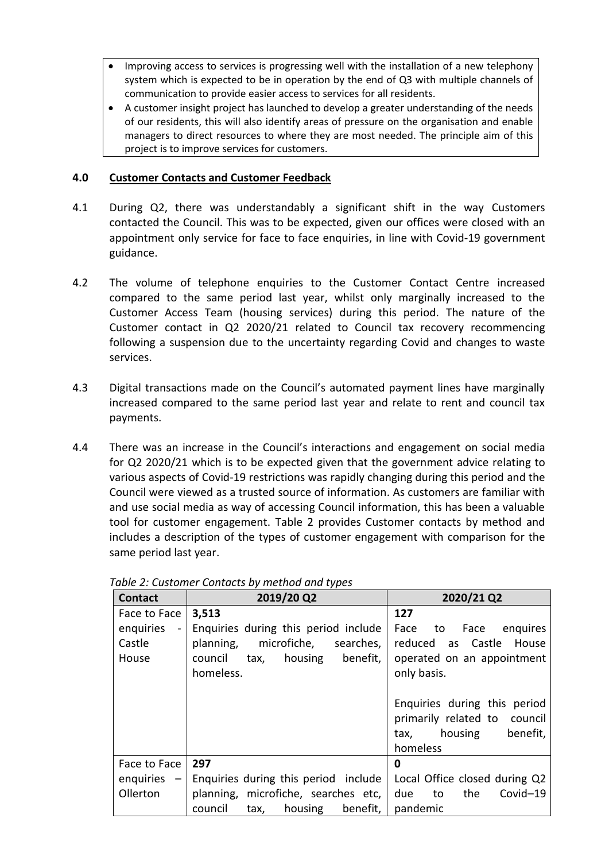- Improving access to services is progressing well with the installation of a new telephony system which is expected to be in operation by the end of Q3 with multiple channels of communication to provide easier access to services for all residents.
- A customer insight project has launched to develop a greater understanding of the needs of our residents, this will also identify areas of pressure on the organisation and enable managers to direct resources to where they are most needed. The principle aim of this project is to improve services for customers.

# **4.0 Customer Contacts and Customer Feedback**

- 4.1 During Q2, there was understandably a significant shift in the way Customers contacted the Council. This was to be expected, given our offices were closed with an appointment only service for face to face enquiries, in line with Covid-19 government guidance.
- 4.2 The volume of telephone enquiries to the Customer Contact Centre increased compared to the same period last year, whilst only marginally increased to the Customer Access Team (housing services) during this period. The nature of the Customer contact in Q2 2020/21 related to Council tax recovery recommencing following a suspension due to the uncertainty regarding Covid and changes to waste services.
- 4.3 Digital transactions made on the Council's automated payment lines have marginally increased compared to the same period last year and relate to rent and council tax payments.
- 4.4 There was an increase in the Council's interactions and engagement on social media for Q2 2020/21 which is to be expected given that the government advice relating to various aspects of Covid-19 restrictions was rapidly changing during this period and the Council were viewed as a trusted source of information. As customers are familiar with and use social media as way of accessing Council information, this has been a valuable tool for customer engagement. Table 2 provides Customer contacts by method and includes a description of the types of customer engagement with comparison for the same period last year.

| <b>Contact</b>              | 2019/20 Q2                             | 2020/21 Q2                    |
|-----------------------------|----------------------------------------|-------------------------------|
| Face to Face                | 3,513                                  | 127                           |
| enquiries<br>$\blacksquare$ | Enquiries during this period include   | Face to Face enquires         |
| Castle                      | planning, microfiche, searches,        | reduced as Castle<br>House    |
| House                       | council tax, housing benefit,          | operated on an appointment    |
|                             | homeless.                              | only basis.                   |
|                             |                                        |                               |
|                             |                                        | Enquiries during this period  |
|                             |                                        | primarily related to council  |
|                             |                                        | benefit,<br>housing<br>tax,   |
|                             |                                        | homeless                      |
| Face to Face                | 297                                    | 0                             |
| enquiries<br>$-$            | Enquiries during this period include   | Local Office closed during Q2 |
| Ollerton                    | planning, microfiche, searches etc,    | due to<br>the<br>Covid-19     |
|                             | housing<br>benefit,<br>council<br>tax, | pandemic                      |

#### *Table 2: Customer Contacts by method and types*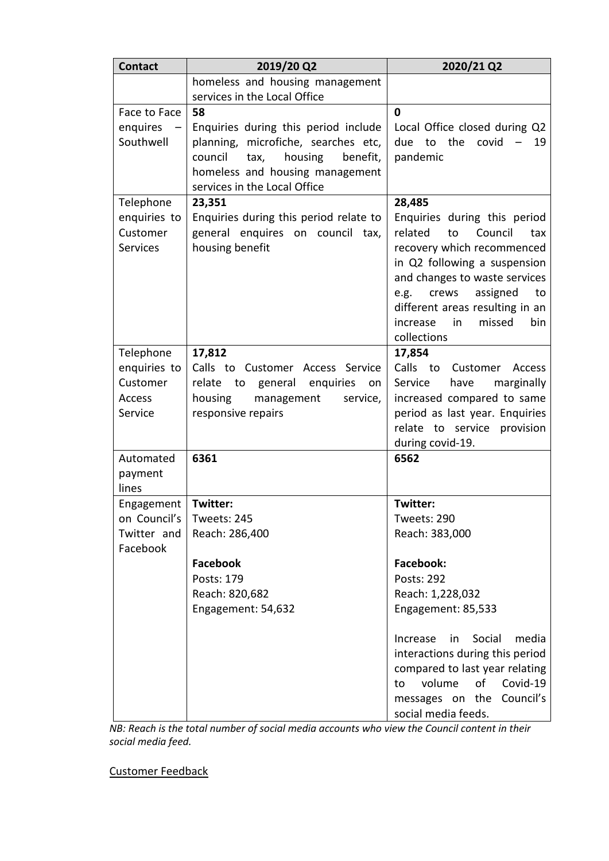| <b>Contact</b>    | 2019/20 Q2                                 | 2020/21 Q2                                                   |
|-------------------|--------------------------------------------|--------------------------------------------------------------|
|                   | homeless and housing management            |                                                              |
|                   | services in the Local Office               |                                                              |
| Face to Face      | 58                                         | 0                                                            |
| enquires          | Enquiries during this period include       | Local Office closed during Q2                                |
| Southwell         | planning, microfiche, searches etc,        | the<br>covid<br>due<br>to<br>19                              |
|                   | council<br>housing<br>benefit,<br>tax,     | pandemic                                                     |
|                   | homeless and housing management            |                                                              |
|                   | services in the Local Office               |                                                              |
| Telephone         | 23,351                                     | 28,485                                                       |
| enquiries to      | Enquiries during this period relate to     | Enquiries during this period                                 |
| Customer          | general enquires on council tax,           | related<br>Council<br>to<br>tax                              |
| <b>Services</b>   | housing benefit                            | recovery which recommenced                                   |
|                   |                                            | in Q2 following a suspension                                 |
|                   |                                            | and changes to waste services                                |
|                   |                                            | assigned<br>crews<br>e.g.<br>to                              |
|                   |                                            | different areas resulting in an                              |
|                   |                                            | missed<br>in<br><b>bin</b><br>increase                       |
|                   |                                            | collections                                                  |
| Telephone         | 17,812                                     | 17,854                                                       |
| enquiries to      | Calls to Customer Access Service           | Calls to Customer<br>Access                                  |
| Customer          | relate<br>general<br>enquiries<br>to<br>on | marginally<br>Service<br>have                                |
| Access<br>Service | housing<br>management<br>service,          | increased compared to same<br>period as last year. Enquiries |
|                   | responsive repairs                         | relate to service provision                                  |
|                   |                                            | during covid-19.                                             |
| Automated         | 6361                                       | 6562                                                         |
| payment           |                                            |                                                              |
| lines             |                                            |                                                              |
| Engagement        | Twitter:                                   | Twitter:                                                     |
| on Council's      | Tweets: 245                                | Tweets: 290                                                  |
| Twitter and       | Reach: 286,400                             | Reach: 383,000                                               |
| Facebook          |                                            |                                                              |
|                   | <b>Facebook</b>                            | <b>Facebook:</b>                                             |
|                   | Posts: 179                                 | Posts: 292                                                   |
|                   | Reach: 820,682                             | Reach: 1,228,032                                             |
|                   | Engagement: 54,632                         | Engagement: 85,533                                           |
|                   |                                            |                                                              |
|                   |                                            | Social<br>in<br>media<br>Increase                            |
|                   |                                            | interactions during this period                              |
|                   |                                            | compared to last year relating                               |
|                   |                                            | volume<br>οf<br>Covid-19<br>to                               |
|                   |                                            | messages on the Council's                                    |
|                   |                                            | social media feeds.                                          |

*NB: Reach is the total number of social media accounts who view the Council content in their social media feed.* 

Customer Feedback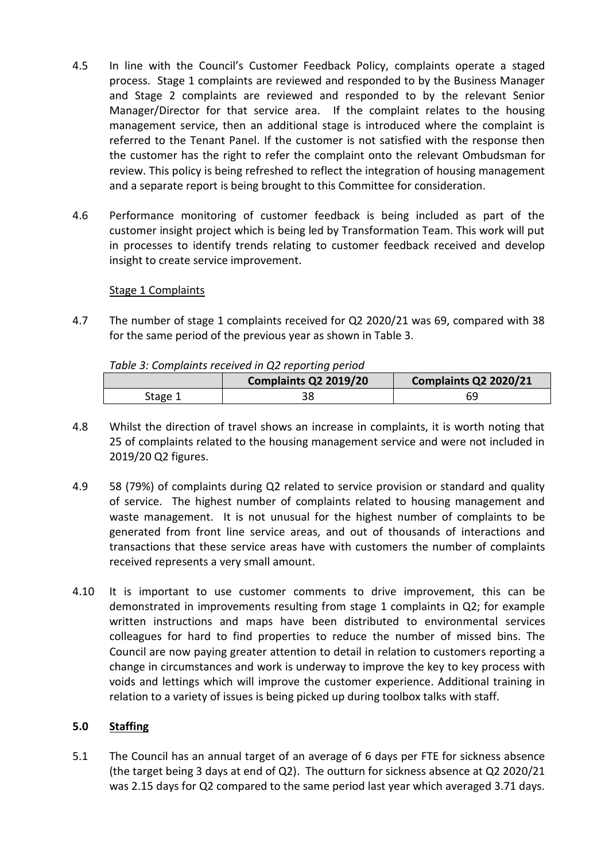- 4.5 In line with the Council's Customer Feedback Policy, complaints operate a staged process. Stage 1 complaints are reviewed and responded to by the Business Manager and Stage 2 complaints are reviewed and responded to by the relevant Senior Manager/Director for that service area. If the complaint relates to the housing management service, then an additional stage is introduced where the complaint is referred to the Tenant Panel. If the customer is not satisfied with the response then the customer has the right to refer the complaint onto the relevant Ombudsman for review. This policy is being refreshed to reflect the integration of housing management and a separate report is being brought to this Committee for consideration.
- 4.6 Performance monitoring of customer feedback is being included as part of the customer insight project which is being led by Transformation Team. This work will put in processes to identify trends relating to customer feedback received and develop insight to create service improvement.

# Stage 1 Complaints

4.7 The number of stage 1 complaints received for Q2 2020/21 was 69, compared with 38 for the same period of the previous year as shown in Table 3.

*Table 3: Complaints received in Q2 reporting period*

|         | Complaints Q2 2019/20 | Complaints Q2 2020/21 |
|---------|-----------------------|-----------------------|
| Stage 1 |                       | 69                    |

- 4.8 Whilst the direction of travel shows an increase in complaints, it is worth noting that 25 of complaints related to the housing management service and were not included in 2019/20 Q2 figures.
- 4.9 58 (79%) of complaints during Q2 related to service provision or standard and quality of service. The highest number of complaints related to housing management and waste management. It is not unusual for the highest number of complaints to be generated from front line service areas, and out of thousands of interactions and transactions that these service areas have with customers the number of complaints received represents a very small amount.
- 4.10 It is important to use customer comments to drive improvement, this can be demonstrated in improvements resulting from stage 1 complaints in Q2; for example written instructions and maps have been distributed to environmental services colleagues for hard to find properties to reduce the number of missed bins. The Council are now paying greater attention to detail in relation to customers reporting a change in circumstances and work is underway to improve the key to key process with voids and lettings which will improve the customer experience. Additional training in relation to a variety of issues is being picked up during toolbox talks with staff.

#### **5.0 Staffing**

5.1 The Council has an annual target of an average of 6 days per FTE for sickness absence (the target being 3 days at end of Q2). The outturn for sickness absence at Q2 2020/21 was 2.15 days for Q2 compared to the same period last year which averaged 3.71 days.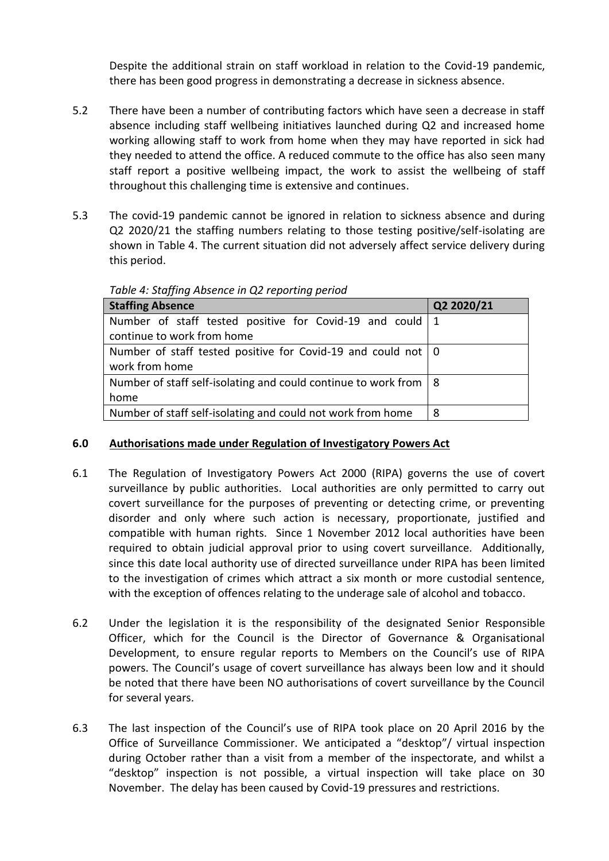Despite the additional strain on staff workload in relation to the Covid-19 pandemic, there has been good progress in demonstrating a decrease in sickness absence.

- 5.2 There have been a number of contributing factors which have seen a decrease in staff absence including staff wellbeing initiatives launched during Q2 and increased home working allowing staff to work from home when they may have reported in sick had they needed to attend the office. A reduced commute to the office has also seen many staff report a positive wellbeing impact, the work to assist the wellbeing of staff throughout this challenging time is extensive and continues.
- 5.3 The covid-19 pandemic cannot be ignored in relation to sickness absence and during Q2 2020/21 the staffing numbers relating to those testing positive/self-isolating are shown in Table 4. The current situation did not adversely affect service delivery during this period.

| <b>Staffing Absence</b>                                            | Q2 2020/21 |  |  |  |
|--------------------------------------------------------------------|------------|--|--|--|
| Number of staff tested positive for Covid-19 and could   1         |            |  |  |  |
| continue to work from home                                         |            |  |  |  |
| Number of staff tested positive for Covid-19 and could not   0     |            |  |  |  |
| work from home                                                     |            |  |  |  |
| Number of staff self-isolating and could continue to work from   8 |            |  |  |  |
| home                                                               |            |  |  |  |
| Number of staff self-isolating and could not work from home        | 8          |  |  |  |

*Table 4: Staffing Absence in Q2 reporting period*

# **6.0 Authorisations made under Regulation of Investigatory Powers Act**

- 6.1 The Regulation of Investigatory Powers Act 2000 (RIPA) governs the use of covert surveillance by public authorities. Local authorities are only permitted to carry out covert surveillance for the purposes of preventing or detecting crime, or preventing disorder and only where such action is necessary, proportionate, justified and compatible with human rights. Since 1 November 2012 local authorities have been required to obtain judicial approval prior to using covert surveillance. Additionally, since this date local authority use of directed surveillance under RIPA has been limited to the investigation of crimes which attract a six month or more custodial sentence, with the exception of offences relating to the underage sale of alcohol and tobacco.
- 6.2 Under the legislation it is the responsibility of the designated Senior Responsible Officer, which for the Council is the Director of Governance & Organisational Development, to ensure regular reports to Members on the Council's use of RIPA powers. The Council's usage of covert surveillance has always been low and it should be noted that there have been NO authorisations of covert surveillance by the Council for several years.
- 6.3 The last inspection of the Council's use of RIPA took place on 20 April 2016 by the Office of Surveillance Commissioner. We anticipated a "desktop"/ virtual inspection during October rather than a visit from a member of the inspectorate, and whilst a "desktop" inspection is not possible, a virtual inspection will take place on 30 November. The delay has been caused by Covid-19 pressures and restrictions.